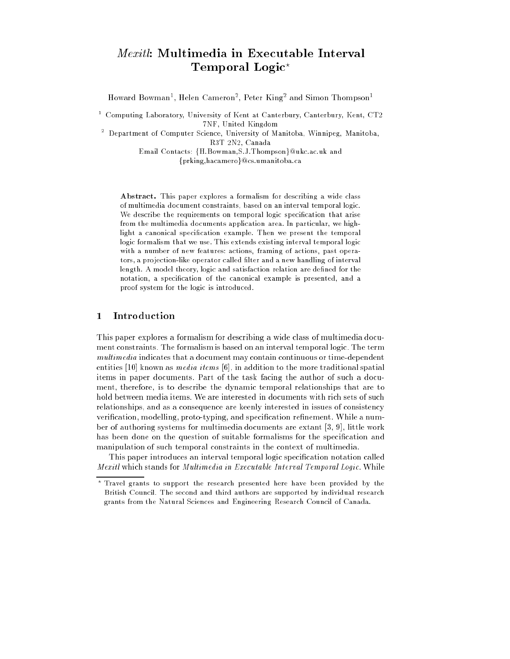# Mexitl: Multimedia in Executable Interval Temporal Logic?

Howard Bowman<sup>-</sup>, Helen Cameron<sup>-</sup>, Peter King- and Simon Thompson-

 $^\circ$  -Computing Laboratory, University of Kent at Canterbury, Canterbury, Kent, CT2 7NF, United Kingdom

<sup>2</sup> Department of Computer Science, University of Manitoba, Winnipeg, Manitoba, R3T 2N2, Canada

> Email Contacts: {H.Bowman, S.J.Thompson}@ukc.ac.uk and {prking, hacamero}@cs.umanitoba.ca

Abstract. This paper explores a formalism for describing a wide class of multimedia document constraints, based on an interval temporal logic. We describe the requirements on temporal logic specification that arise from the multimedia documents application area. In particular, we highlight a canonical specication example. Then we present the temporal logic formalism that we use. This extends existing interval temporal logic with a number of new features: actions, framing of actions, past operators, a projection-like operator called filter and a new handling of interval length. A model theory, logic and satisfaction relation are defined for the notation, a specication of the canonical example is presented, and a proof system for the logic is introduced.

# <sup>1</sup> Introduction

This paper explores a formalism for describing a wide class of multimedia document constraints. The formalism is based on an interval temporal logic. The term multimedia indicates that a document may contain continuous or time-dependent entities [10] known as *media items* [6], in addition to the more traditional spatial items in paper documents. Part of the task facing the author of such a document, therefore, is to describe the dynamic temporal relationships that are to hold between media items. We are interested in documents with rich sets of such relationships, and as a consequence are keenly interested in issues of consistency verification, modelling, proto-typing, and specification refinement. While a number of authoring systems for multimedia documents are extant [3, 9], little work has been done on the question of suitable formalisms for the specification and manipulation of such temporal constraints in the context of multimedia.

This paper introduces an interval temporal logic specication notation called me an executable stands for Multimedia in Executable Interval Temporal Temporal Logic. While Interval Temporal

Travel grants to support the research presented here have been provided by the British Council. The second and third authors are supported by individual research grants from the Natural Sciences and Engineering Research Council of Canada.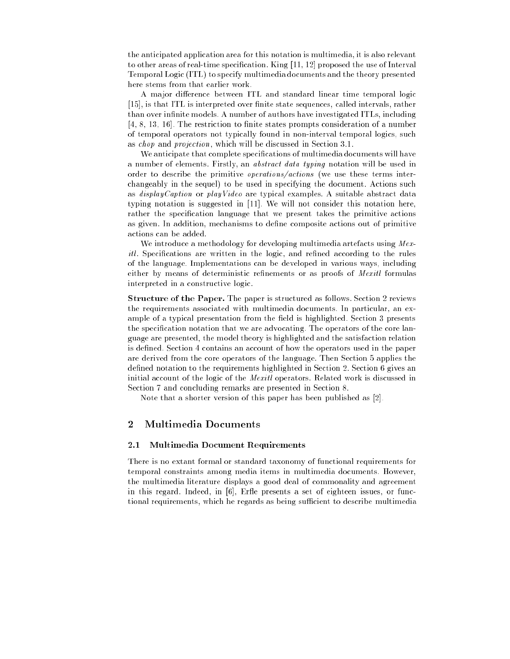the anticipated application area for this notation is multimedia, it is also relevant to other areas of real-time specification. King  $[11, 12]$  proposed the use of Interval Temporal Logic (ITL) to specify multimedia documents and the theory presented here stems from that earlier work.

A major difference between ITL and standard linear time temporal logic [15], is that ITL is interpreted over finite state sequences, called intervals, rather than over infinite models. A number of authors have investigated ITLs, including  $[4, 8, 13, 16]$ . The restriction to finite states prompts consideration of a number of temporal operators not typically found in non-interval temporal logics, such as chop and projection, which will be discussed in Section 3.1.

We anticipate that complete specifications of multimedia documents will have a number of elements. Firstly, an abstract data typing notation will be used in order to describe the primitive operations/actions (we use these terms interchangeably in the sequel) to be used in specifying the document. Actions such as displayCaption or playVideo are typical examples. A suitable abstract data typing notation is suggested in [11]. We will not consider this notation here, rather the specification language that we present takes the primitive actions as given. In addition, mechanisms to define composite actions out of primitive actions can be added.

We introduce a methodology for developing multimedia artefacts using  $Mex$ itle specifications are written in the logic, and remited according to the rules of the language. Implementations can be developed in various ways, including either by means of deterministic refinements or as proofs of *Mexitl* formulas interpreted in a constructive logic.

Structure of the Paper. The paper is structured as follows. Section 2 reviews the requirements associated with multimedia documents. In particular, an example of a typical presentation from the field is highlighted. Section 3 presents the specification notation that we are advocating. The operators of the core language are presented, the model theory is highlighted and the satisfaction relation is defined. Section 4 contains an account of how the operators used in the paper are derived from the core operators of the language. Then Section 5 applies the defined notation to the requirements highlighted in Section 2. Section 6 gives an initial account of the logic of the Mexitl operators. Related work is discussed in Section 7 and concluding remarks are presented in Section 8.

Note that a shorter version of this paper has been published as [2].

# <sup>2</sup> Multimedia Documents

#### 2.1 Multimedia Document Requirements

There is no extant formal or standard taxonomy of functional requirements for temporal constraints among media items in multimedia documents. However, the multimedia literature displays a good deal of commonality and agreement in this regard. Indeed, in [6], Erfle presents a set of eighteen issues, or functional requirements, which he regards as being sufficient to describe multimedia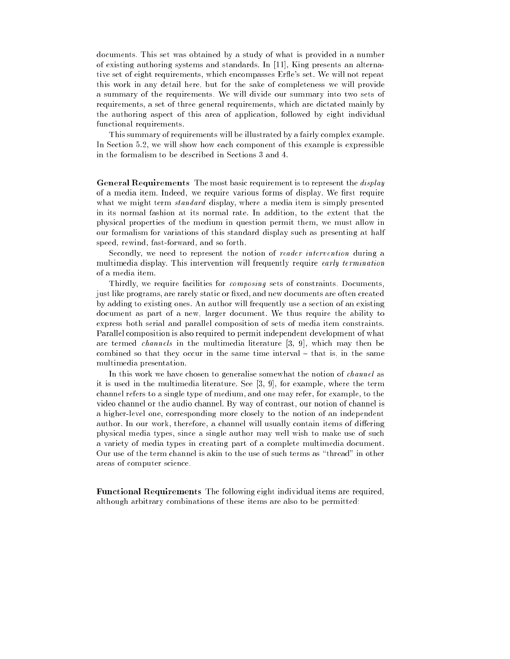documents. This set was obtained by a study of what is provided in a number of existing authoring systems and standards. In [11], King presents an alternative set of eight requirements, which encompasses Erfle's set. We will not repeat this work in any detail here, but for the sake of completeness we will provide a summary of the requirements. We will divide our summary into two sets of requirements, a set of three general requirements, which are dictated mainly by the authoring aspect of this area of application, followed by eight individual functional requirements.

This summary of requirements will be illustrated by a fairly complex example. In Section 5.2, we will show how each component of this example is expressible in the formalism to be described in Sections 3 and 4.

General Requirements The most basic requirement is to represent the *display* of a media item. Indeed, we require various forms of display. We first require what we might term *standard* display, where a media item is simply presented in its normal fashion at its normal rate. In addition, to the extent that the physical properties of the medium in question permit them, we must allow in our formalism for variations of this standard display such as presenting at half speed, rewind, fast-forward, and so forth.

Secondly, we need to represent the notion of reader intervention during a multimedia display. This intervention will frequently require early termination of a media item.

Thirdly, we require facilities for composing sets of constraints. Documents, just like programs, are rarely static or fixed, and new documents are often created by adding to existing ones. An author will frequently use a section of an existing document as part of a new, larger document. We thus require the ability to express both serial and parallel composition of sets of media item constraints. Parallel composition is also required to permit independent development of what are termed channels in the multimedia literature [3, 9], which may then be combined so that they occur in the same time interval  $-$  that is, in the same multimedia presentation.

In this work we have chosen to generalise somewhat the notion of channel as it is used in the multimedia literature. See [3, 9], for example, where the term channel refers to a single type of medium, and one may refer, for example, to the video channel or the audio channel. By way of contrast, our notion of channel is a higher-level one, corresponding more closely to the notion of an independent author. In our work, therefore, a channel will usually contain items of differing physical media types, since a single author may well wish to make use of such a variety of media types in creating part of a complete multimedia document. Our use of the term channel is akin to the use of such terms as "thread" in other areas of computer science.

Functional Requirements The following eight individual items are required, although arbitrary combinations of these items are also to be permitted: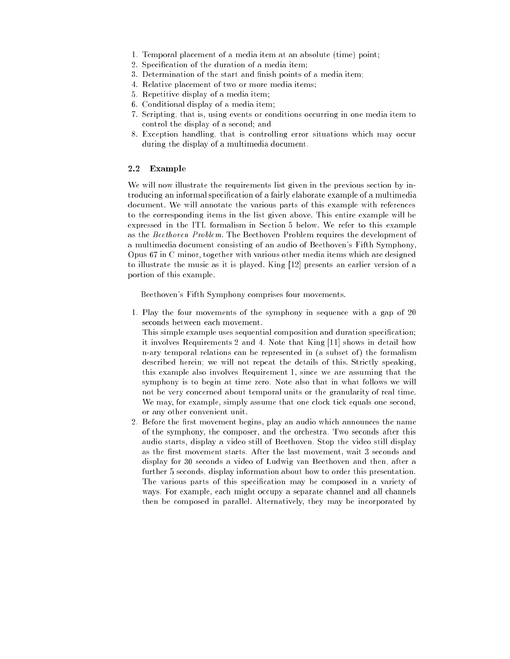- 1. Temporal placement of a media item at an absolute (time) point;
- 2. Specication of the duration of a media item;
- 3. Determination of the start and finish points of a media item;
- 4. Relative placement of two or more media items;
- 5. Repetitive display of a media item;
- 6. Conditional display of a media item;
- 7. Scripting, that is, using events or conditions occurring in one media item to control the display of a second; and
- 8. Exception handling, that is controlling error situations which may occur during the display of a multimedia document.

### 2.2 Example

We will now illustrate the requirements list given in the previous section by introducing an informal specication of a fairly elaborate example of a multimedia document. We will annotate the various parts of this example with references to the corresponding items in the list given above. This entire example will be expressed in the ITL formalism in Section 5 below. We refer to this example as the Beethoven Problem. The Beethoven Problem requires the development of a multimedia document consisting of an audio of Beethoven's Fifth Symphony, Opus 67 in C minor, together with various other media items which are designed to illustrate the music as it is played. King [12] presents an earlier version of a portion of this example.

Beethoven's Fifth Symphony comprises four movements.

1. Play the four movements of the symphony in sequence with a gap of 20 seconds between each movement.

This simple example uses sequential composition and duration specication; it involves Requirements 2 and 4. Note that King [11] shows in detail how n-ary temporal relations can be represented in (a subset of) the formalism described herein; we will not repeat the details of this. Strictly speaking, this example also involves Requirement 1, since we are assuming that the symphony is to begin at time zero. Note also that in what follows we will not be very concerned about temporal units or the granularity of real time. We may, for example, simply assume that one clock tick equals one second, or any other convenient unit.

2. Before the first movement begins, play an audio which announces the name of the symphony, the composer, and the orchestra. Two seconds after this audio starts, display a video still of Beethoven. Stop the video still display as the first movement starts. After the last movement, wait 3 seconds and display for 30 seconds a video of Ludwig van Beethoven and then, after a further 5 seconds, display information about how to order this presentation. The various parts of this specification may be composed in a variety of ways. For example, each might occupy a separate channel and all channels then be composed in parallel. Alternatively, they may be incorporated by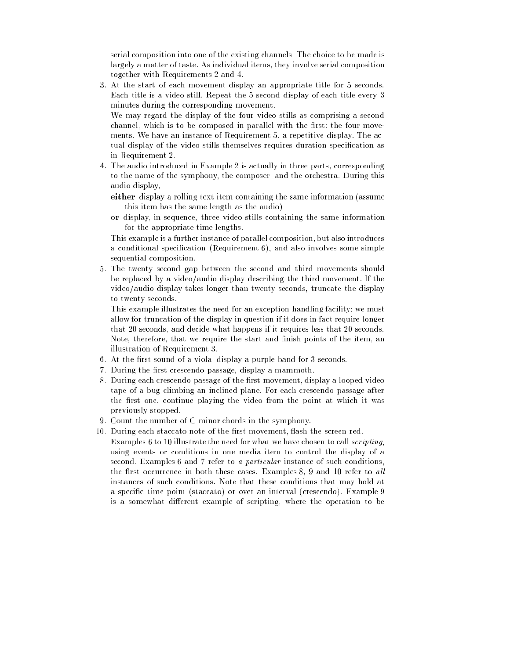serial composition into one of the existing channels. The choice to be made is largely a matter of taste. As individual items, they involve serial composition together with Requirements 2 and 4.

3. At the start of each movement display an appropriate title for 5 seconds. Each title is a video still. Repeat the 5 second display of each title every 3 minutes during the corresponding movement.

We may regard the display of the four video stills as comprising a second channel, which is to be composed in parallel with the first: the four movements. We have an instance of Requirement 5, a repetitive display. The actual display of the video stills themselves requires duration specication as in Requirement 2.

4. The audio introduced in Example 2 is actually in three parts, corresponding to the name of the symphony, the composer, and the orchestra. During this audio display,

either display a rolling text item containing the same information (assume this item has the same length as the audio)

or display, in sequence, three video stills containing the same information for the appropriate time lengths.

This example is a further instance of parallel composition, but also introduces a conditional specication (Requirement 6), and also involves some simple sequential composition.

5. The twenty second gap between the second and third movements should be replaced by a video/audio display describing the third movement. If the video/audio display takes longer than twenty seconds, truncate the display to twenty seconds.

This example illustrates the need for an exception handling facility; we must allow for truncation of the display in question if it does in fact require longer that 20 seconds, and decide what happens if it requires less that 20 seconds. Note, therefore, that we require the start and finish points of the item, an illustration of Requirement 3.

- 6. At the first sound of a viola, display a purple band for 3 seconds.
- 7. During the first crescendo passage, display a mammoth.
- 8. During each crescendo passage of the first movement, display a looped video tape of a bug climbing an inclined plane. For each crescendo passage after the first one, continue playing the video from the point at which it was previously stopped.
- 9. Count the number of C minor chords in the symphony.
- 10. During each staccato note of the first movement, flash the screen red. Examples 6 to 10 illustrate the need for what we have chosen to call scripting, using events or conditions in one media item to control the display of a second. Examples 6 and 7 refer to a particular instance of such conditions, the first occurrence in both these cases. Examples  $8, 9$  and  $10$  refer to all instances of such conditions. Note that these conditions that may hold at
	- a specific time point (staccato) or over an interval (crescendo). Example 9 is a somewhat different example of scripting, where the operation to be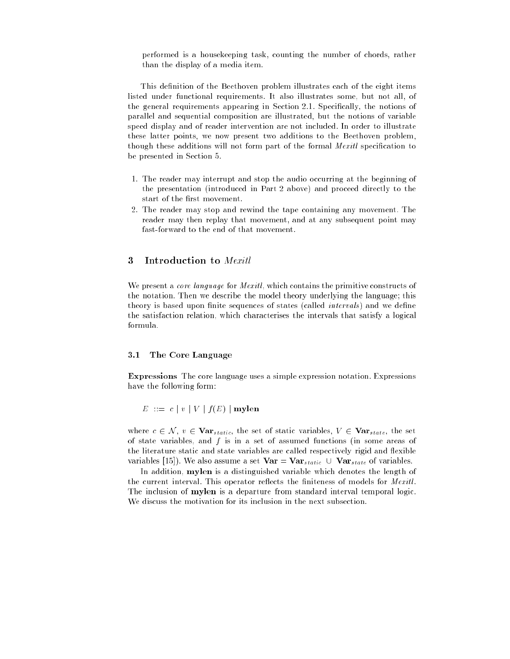performed is a housekeeping task, counting the number of chords, rather than the display of a media item.

This definition of the Beethoven problem illustrates each of the eight items listed under functional requirements. It also illustrates some, but not all, of the general requirements appearing in Section 2.1. Specically, the notions of parallel and sequential composition are illustrated, but the notions of variable speed display and of reader intervention are not included. In order to illustrate these latter points, we now present two additions to the Beethoven problem, though these additions will not form part of the formal Mexitl specification to be presented in Section 5.

- 1. The reader may interrupt and stop the audio occurring at the beginning of the presentation (introduced in Part 2 above) and proceed directly to the start of the first movement.
- 2. The reader may stop and rewind the tape containing any movement. The reader may then replay that movement, and at any subsequent point may fast-forward to the end of that movement.

#### Introduction to Mexitl 3

We present a *core language* for *Mexitl*, which contains the primitive constructs of the notation. Then we describe the model theory underlying the language; this theory is based upon finite sequences of states (called *intervals*) and we define the satisfaction relation, which characterises the intervals that satisfy a logical formula.

#### 3.1 The Core Language

Expressions The core language uses a simple expression notation. Expressions have the following form:

 $E := c | v | V | f(E) |$  mylen

where  $c \in \mathcal{N}$ ,  $v \in \textbf{Var}_{static}$ , the set of static variables,  $V \in \textbf{Var}_{static}$ , the set of state variables, and  $f$  is in a set of assumed functions (in some areas of the literature static and state variables are called respectively rigid and flexible variables [15]). We also assume a set  $Var = Var_{static} \cup Var_{state}$  of variables.

In addition, mylen is a distinguished variable which denotes the length of the current interval. This operator reflects the finiteness of models for  $Mex$ itl. The inclusion of mylen is a departure from standard interval temporal logic. We discuss the motivation for its inclusion in the next subsection.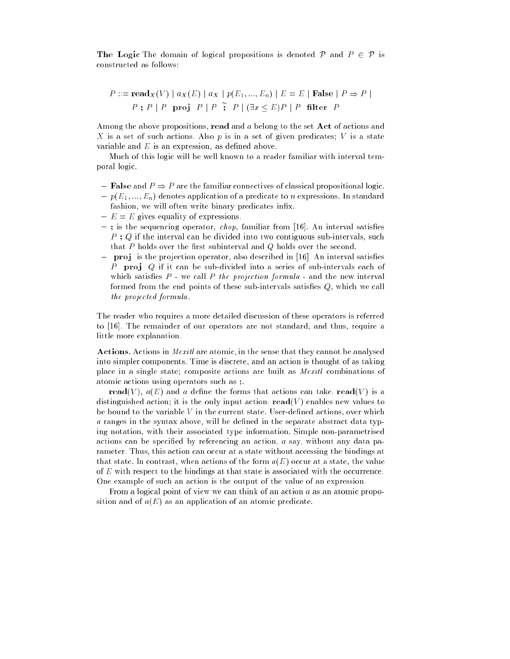The Logic The domain of logical propositions is denoted P and  $P \in \mathcal{P}$  is constructed as follows:

$$
P ::= \mathbf{read}_{X}(V) \mid a_{X}(E) \mid a_{X} \mid p(E_{1}, ..., E_{n}) \mid E = E \mid \mathbf{False} \mid P \Rightarrow P \mid P
$$
\n
$$
P : P \mid P \quad \mathbf{proj} \quad P \mid P \quad \tilde{\mathbf{r}} \quad P \mid (\exists x < E)P \mid P \quad \mathbf{filter} \quad P
$$

Among the above propositions, read and <sup>a</sup> belong to the set Act of actions and X is a set of such actions. Also p is in a set of given predicates; V is a state variable and  $E$  is an expression, as defined above.

Much of this logic will be well known to a reader familiar with interval temporal logic.

- ${\bf -}$  False and  $P \Rightarrow P$  are the familiar connectives of classical propositional logic.  ${p(E_1, ..., E_n)}$  denotes application of a predicate to n expressions. In standard
- fashion, we will often write binary predicates infix.
- $= E = E$  gives equality of expressions.
- $-$ ; is the sequencing operator, chop, familiar from [16]. An interval satisfies  $P$ ; Q if the interval can be divided into two contiguous sub-intervals, such that  $P$  holds over the first subinterval and  $Q$  holds over the second.
- $=$  proj is the projection operator, also described in [16]. An interval satisfies P proj  $Q$  if it can be sub-divided into a series of sub-intervals each of which satisfies  $P$  - we call P the projection formula - and the new interval formed from the end points of these sub-intervals satisfies  $Q$ , which we call the projected formula.

The reader who requires a more detailed discussion of these operators is referred to [16]. The remainder of our operators are not standard, and thus, require a little more explanation.

Actions. Actions in *Mexitl* are atomic, in the sense that they cannot be analysed into simpler components. Time is discrete, and an action is thought of as taking place in a single state; composite actions are built as Mexitl combinations of atomic actions using operators such as ;.

read(V),  $a(E)$  and a define the forms that actions can take. read(V) is a distinguished action; it is the only input action.  $\text{read}(V)$  enables new values to be bound to the variable  $V$  in the current state. User-defined actions, over which a ranges in the syntax above, will be defined in the separate abstract data typing notation, with their associated type information. Simple non-parametrised actions can be specied by referencing an action, <sup>a</sup> say, without any data parameter. Thus, this action can occur at a state without accessing the bindings at that state. In contrast, when actions of the form  $a(E)$  occur at a state, the value of <sup>E</sup> with respect to the bindings at that state is associated with the occurrence. One example of such an action is the output of the value of an expression.

From a logical point of view we can think of an action <sup>a</sup> as an atomic proposition and of  $a(E)$  as an application of an atomic predicate.